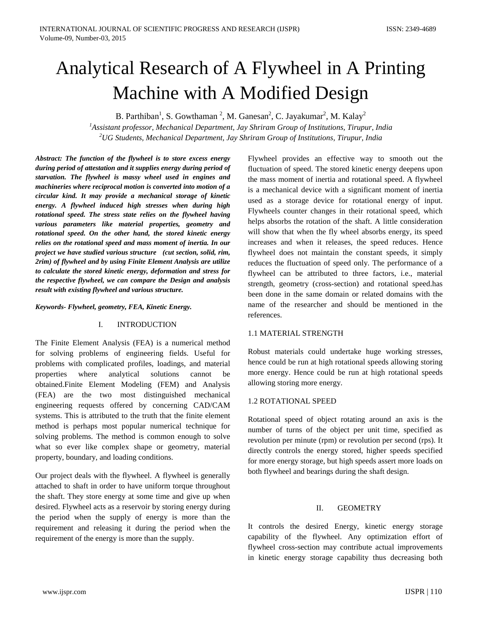# Analytical Research of A Flywheel in A Printing Machine with A Modified Design

B. Parthiban<sup>1</sup>, S. Gowthaman<sup>2</sup>, M. Ganesan<sup>2</sup>, C. Jayakumar<sup>2</sup>, M. Kalay<sup>2</sup> *1 Assistant professor, Mechanical Department, Jay Shriram Group of Institutions, Tirupur, India 2 UG Students, Mechanical Department, Jay Shriram Group of Institutions, Tirupur, India*

*Abstract: The function of the flywheel is to store excess energy during period of attestation and it supplies energy during period of starvation. The flywheel is massy wheel used in engines and machineries where reciprocal motion is converted into motion of a circular kind. It may provide a mechanical storage of kinetic energy. A flywheel induced high stresses when during high rotational speed. The stress state relies on the flywheel having various parameters like material properties, geometry and rotational speed. On the other hand, the stored kinetic energy relies on the rotational speed and mass moment of inertia. In our project we have studied various structure (cut section, solid, rim, 2rim) of flywheel and by using Finite Element Analysis are utilize to calculate the stored kinetic energy, deformation and stress for the respective flywheel, we can compare the Design and analysis result with existing flywheel and various structure.*

*Keywords- Flywheel, geometry, FEA, Kinetic Energy.*

# I. INTRODUCTION

The Finite Element Analysis (FEA) is a numerical method for solving problems of engineering fields. Useful for problems with complicated profiles, loadings, and material properties where analytical solutions cannot be obtained.Finite Element Modeling (FEM) and Analysis (FEA) are the two most distinguished mechanical engineering requests offered by concerning CAD/CAM systems. This is attributed to the truth that the finite element method is perhaps most popular numerical technique for solving problems. The method is common enough to solve what so ever like complex shape or geometry, material property, boundary, and loading conditions.

Our project deals with the flywheel. A flywheel is generally attached to shaft in order to have uniform torque throughout the shaft. They store energy at some time and give up when desired. Flywheel acts as a reservoir by storing energy during the period when the supply of energy is more than the requirement and releasing it during the period when the requirement of the energy is more than the supply.

Flywheel provides an effective way to smooth out the fluctuation of speed. The stored kinetic energy deepens upon the mass moment of inertia and rotational speed. A flywheel is a mechanical device with a significant moment of inertia used as a storage device for rotational energy of input. Flywheels counter changes in their rotational speed, which helps absorbs the rotation of the shaft. A little consideration will show that when the fly wheel absorbs energy, its speed increases and when it releases, the speed reduces. Hence flywheel does not maintain the constant speeds, it simply reduces the fluctuation of speed only. The performance of a flywheel can be attributed to three factors, i.e., material strength, geometry (cross-section) and rotational speed.has been done in the same domain or related domains with the name of the researcher and should be mentioned in the references.

# 1.1 MATERIAL STRENGTH

Robust materials could undertake huge working stresses, hence could be run at high rotational speeds allowing storing more energy. Hence could be run at high rotational speeds allowing storing more energy.

# 1.2 ROTATIONAL SPEED

Rotational speed of object rotating around an axis is the number of turns of the object per unit time, specified as revolution per minute (rpm) or revolution per second (rps). It directly controls the energy stored, higher speeds specified for more energy storage, but high speeds assert more loads on both flywheel and bearings during the shaft design.

#### II. GEOMETRY

It controls the desired Energy, kinetic energy storage capability of the flywheel. Any optimization effort of flywheel cross-section may contribute actual improvements in kinetic energy storage capability thus decreasing both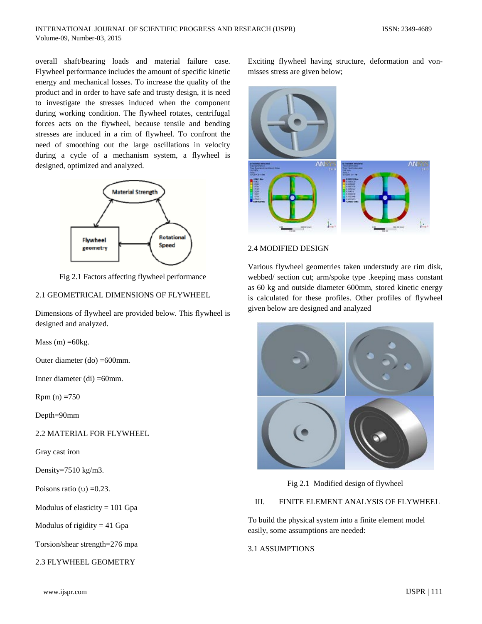overall shaft/bearing loads and material failure case. Flywheel performance includes the amount of specific kinetic energy and mechanical losses. To increase the quality of the product and in order to have safe and trusty design, it is need to investigate the stresses induced when the component during working condition. The flywheel rotates, centrifugal forces acts on the flywheel, because tensile and bending stresses are induced in a rim of flywheel. To confront the need of smoothing out the large oscillations in velocity during a cycle of a mechanism system, a flywheel is designed, optimized and analyzed.



Fig 2.1 Factors affecting flywheel performance

## 2.1 GEOMETRICAL DIMENSIONS OF FLYWHEEL

Dimensions of flywheel are provided below. This flywheel is designed and analyzed.

Mass  $(m) = 60kg$ .

Outer diameter (do) =600mm.

Inner diameter (di) =60mm.

 $Rpm (n) = 750$ 

Depth=90mm

2.2 MATERIAL FOR FLYWHEEL

Gray cast iron

Density=7510 kg/m3.

Poisons ratio (υ)  $=0.23$ .

Modulus of elasticity  $= 101$  Gpa

Modulus of rigidity  $= 41$  Gpa

Torsion/shear strength=276 mpa

2.3 FLYWHEEL GEOMETRY

Exciting flywheel having structure, deformation and vonmisses stress are given below;



#### 2.4 MODIFIED DESIGN

Various flywheel geometries taken understudy are rim disk, webbed/ section cut; arm/spoke type .keeping mass constant as 60 kg and outside diameter 600mm, stored kinetic energy is calculated for these profiles. Other profiles of flywheel given below are designed and analyzed



Fig 2.1 Modified design of flywheel

## III. FINITE ELEMENT ANALYSIS OF FLYWHEEL

To build the physical system into a finite element model easily, some assumptions are needed:

#### 3.1 ASSUMPTIONS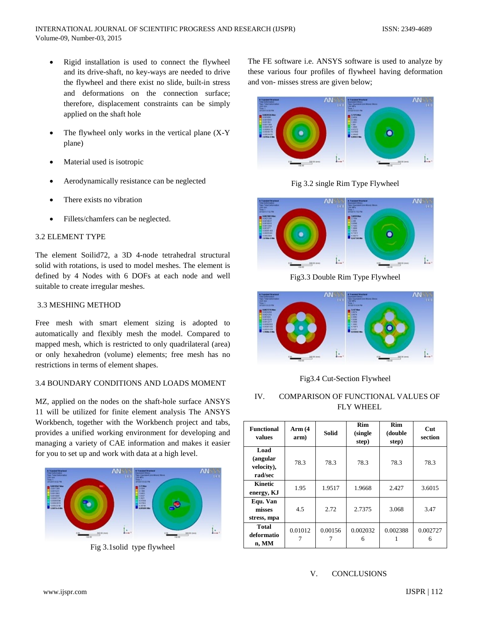- Rigid installation is used to connect the flywheel and its drive-shaft, no key-ways are needed to drive the flywheel and there exist no slide, built-in stress and deformations on the connection surface; therefore, displacement constraints can be simply applied on the shaft hole
- The flywheel only works in the vertical plane  $(X-Y)$ plane)
- Material used is isotropic
- Aerodynamically resistance can be neglected
- There exists no vibration
- Fillets/chamfers can be neglected.

# 3.2 ELEMENT TYPE

The element Soilid72, a 3D 4-node tetrahedral structural solid with rotations, is used to model meshes. The element is defined by 4 Nodes with 6 DOFs at each node and well suitable to create irregular meshes.

# 3.3 MESHING METHOD

Free mesh with smart element sizing is adopted to automatically and flexibly mesh the model. Compared to mapped mesh, which is restricted to only quadrilateral (area) or only hexahedron (volume) elements; free mesh has no restrictions in terms of element shapes.

# 3.4 BOUNDARY CONDITIONS AND LOADS MOMENT

MZ, applied on the nodes on the shaft-hole surface ANSYS 11 will be utilized for finite element analysis The ANSYS Workbench, together with the Workbench project and tabs, provides a unified working environment for developing and managing a variety of CAE information and makes it easier for you to set up and work with data at a high level.



Fig 3.1solid type flywheel

The FE software i.e. ANSYS software is used to analyze by these various four profiles of flywheel having deformation and von- misses stress are given below;



Fig 3.2 single Rim Type Flywheel



Fig3.3 Double Rim Type Flywheel



Fig3.4 Cut-Section Flywheel

# IV. COMPARISON OF FUNCTIONAL VALUES OF FLY WHEEL

| <b>Functional</b><br>values               | Arm $(4)$<br>arm) | <b>Solid</b> | Rim<br>(single)<br>step) | <b>Rim</b><br>(double<br>step) | $_{\rm Cut}$<br>section |
|-------------------------------------------|-------------------|--------------|--------------------------|--------------------------------|-------------------------|
| Load<br>(angular<br>velocity),<br>rad/sec | 78.3              | 78.3         | 78.3                     | 78.3                           | 78.3                    |
| Kinetic<br>energy, KJ                     | 1.95              | 1.9517       | 1.9668                   | 2.427                          | 3.6015                  |
| Equ. Van<br>misses<br>stress, mpa         | 4.5               | 2.72         | 2.7375                   | 3.068                          | 3.47                    |
| Total<br>deformatio<br>n, MM              | 0.01012           | 0.00156      | 0.002032<br>6            | 0.002388                       | 0.002727<br>6           |

# V. CONCLUSIONS